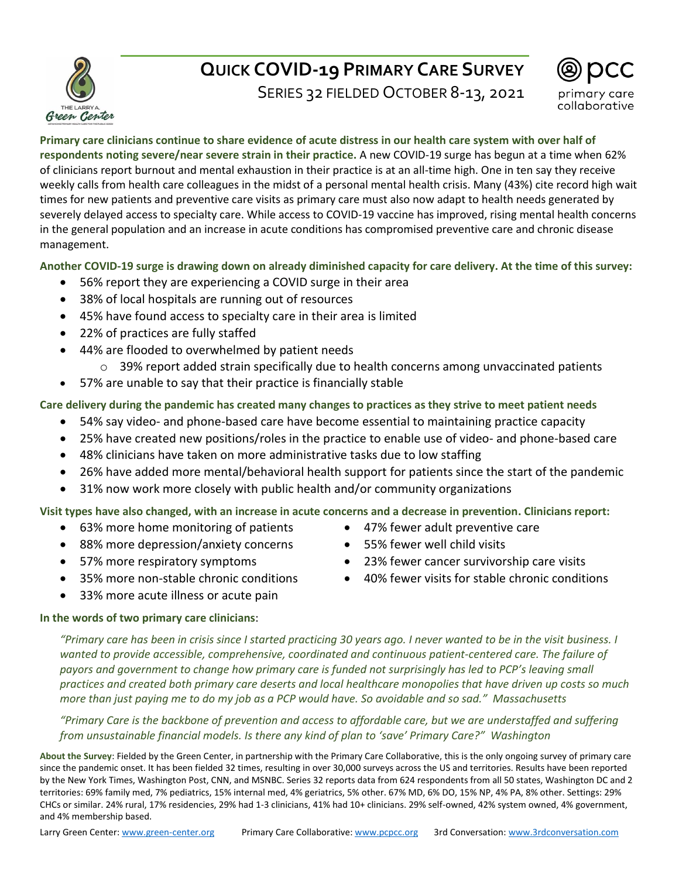

# **QUICK COVID-19 PRIMARY CARE SURVEY**

SERIES 32 FIELDED OCTOBER 8-13, 2021



#### **Primary care clinicians continue to share evidence of acute distress in our health care system with over half of respondents noting severe/near severe strain in their practice.** A new COVID-19 surge has begun at a time when 62% of clinicians report burnout and mental exhaustion in their practice is at an all-time high. One in ten say they receive weekly calls from health care colleagues in the midst of a personal mental health crisis. Many (43%) cite record high wait times for new patients and preventive care visits as primary care must also now adapt to health needs generated by severely delayed access to specialty care. While access to COVID-19 vaccine has improved, rising mental health concerns in the general population and an increase in acute conditions has compromised preventive care and chronic disease management.

# **Another COVID-19 surge is drawing down on already diminished capacity for care delivery. At the time of this survey:**

- 56% report they are experiencing a COVID surge in their area
- 38% of local hospitals are running out of resources
- 45% have found access to specialty care in their area is limited
- 22% of practices are fully staffed
- 44% are flooded to overwhelmed by patient needs
	- $\circ$  39% report added strain specifically due to health concerns among unvaccinated patients
- 57% are unable to say that their practice is financially stable

# **Care delivery during the pandemic has created many changes to practices as they strive to meet patient needs**

- 54% say video- and phone-based care have become essential to maintaining practice capacity
- 25% have created new positions/roles in the practice to enable use of video- and phone-based care
- 48% clinicians have taken on more administrative tasks due to low staffing
- 26% have added more mental/behavioral health support for patients since the start of the pandemic
- 31% now work more closely with public health and/or community organizations

## **Visit types have also changed, with an increase in acute concerns and a decrease in prevention. Clinicians report:**

- 63% more home monitoring of patients
- 88% more depression/anxiety concerns
- 57% more respiratory symptoms
- 35% more non-stable chronic conditions
- 33% more acute illness or acute pain

## **In the words of two primary care clinicians**:

*"Primary care has been in crisis since I started practicing 30 years ago. I never wanted to be in the visit business. I wanted to provide accessible, comprehensive, coordinated and continuous patient-centered care. The failure of payors and government to change how primary care is funded not surprisingly has led to PCP's leaving small practices and created both primary care deserts and local healthcare monopolies that have driven up costs so much more than just paying me to do my job as a PCP would have. So avoidable and so sad." Massachusetts*

*"Primary Care is the backbone of prevention and access to affordable care, but we are understaffed and suffering from unsustainable financial models. Is there any kind of plan to 'save' Primary Care?" Washington*

**About the Survey**: Fielded by the Green Center, in partnership with the Primary Care Collaborative, this is the only ongoing survey of primary care since the pandemic onset. It has been fielded 32 times, resulting in over 30,000 surveys across the US and territories. Results have been reported by the New York Times, Washington Post, CNN, and MSNBC. Series 32 reports data from 624 respondents from all 50 states, Washington DC and 2 territories: 69% family med, 7% pediatrics, 15% internal med, 4% geriatrics, 5% other. 67% MD, 6% DO, 15% NP, 4% PA, 8% other. Settings: 29% CHCs or similar. 24% rural, 17% residencies, 29% had 1-3 clinicians, 41% had 10+ clinicians. 29% self-owned, 42% system owned, 4% government, and 4% membership based.

- 47% fewer adult preventive care
- 55% fewer well child visits
- 23% fewer cancer survivorship care visits
- 40% fewer visits for stable chronic conditions